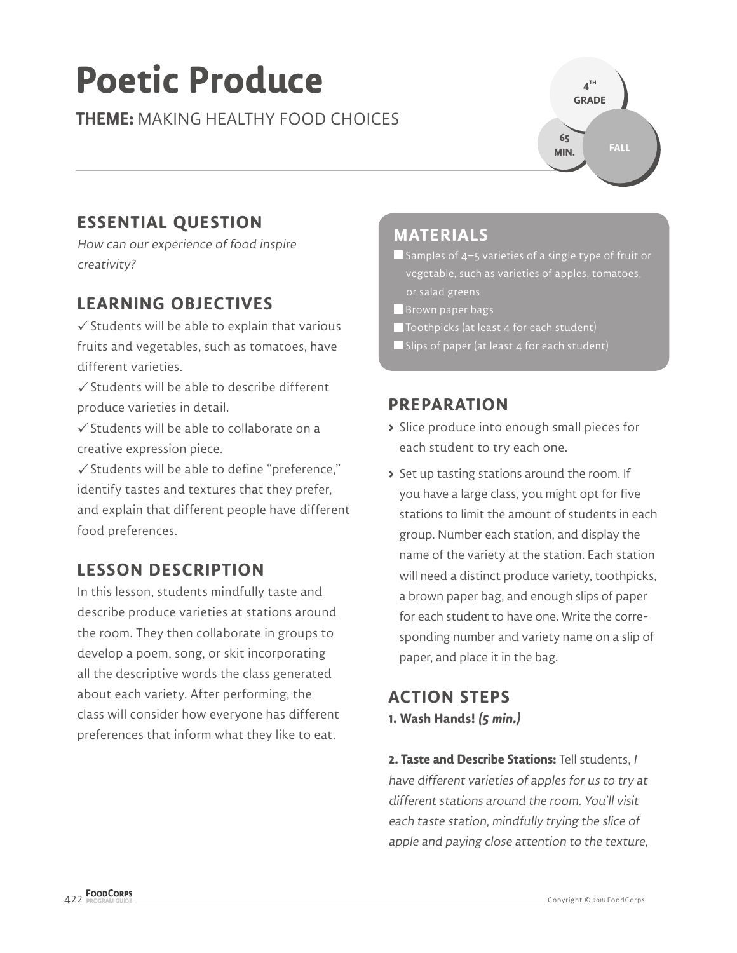# **Poetic Produce**

**THEME:** MAKING HEALTHY FOOD CHOICES



# **ESSENTIAL QUESTION**

How can our experience of food inspire creativity?

# **LEARNING OBJECTIVES**

 $\checkmark$  Students will be able to explain that various fruits and vegetables, such as tomatoes, have different varieties.

 $\sqrt{\frac{1}{2}}$  Students will be able to describe different produce varieties in detail.

 $\checkmark$  Students will be able to collaborate on a creative expression piece.

 $\checkmark$  Students will be able to define "preference," identify tastes and textures that they prefer, and explain that different people have different food preferences.

# **LESSON DESCRIPTION**

In this lesson, students mindfully taste and describe produce varieties at stations around the room. They then collaborate in groups to develop a poem, song, or skit incorporating all the descriptive words the class generated about each variety. After performing, the class will consider how everyone has different preferences that inform what they like to eat.

#### **MATERIALS**

 $\blacksquare$  Samples of 4–5 varieties of a single type of fruit or vegetable, such as varieties of apples, tomatoes, or salad greens

- **Brown paper bags**
- Toothpicks (at least 4 for each student)
- Slips of paper (at least 4 for each student)

#### **PREPARATION**

- **>** Slice produce into enough small pieces for each student to try each one.
- **>** Set up tasting stations around the room. If you have a large class, you might opt for five stations to limit the amount of students in each group. Number each station, and display the name of the variety at the station. Each station will need a distinct produce variety, toothpicks, a brown paper bag, and enough slips of paper for each student to have one. Write the corresponding number and variety name on a slip of paper, and place it in the bag.

#### **ACTION STEPS 1. Wash Hands! (5 min.)**

**2. Taste and Describe Stations:** Tell students,<sup>I</sup> have different varieties of apples for us to try at different stations around the room. You'll visit each taste station, mindfully trying the slice of apple and paying close attention to the texture,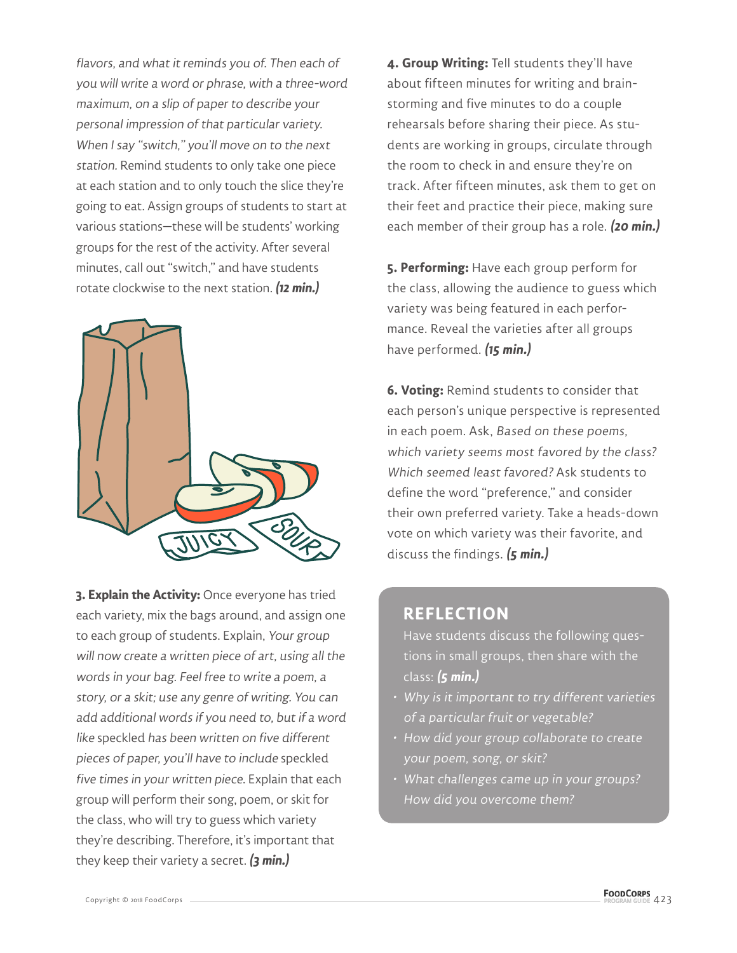flavors, and what it reminds you of. Then each of you will write a word or phrase, with a three-word maximum, on a slip of paper to describe your personal impression of that particular variety. When I say "switch," you'll move on to the next station. Remind students to only take one piece at each station and to only touch the slice they're going to eat. Assign groups of students to start at various stations—these will be students' working groups for the rest of the activity. After several minutes, call out "switch," and have students rotate clockwise to the next station. **(12 min.)**



**3. Explain the Activity:** Once everyone has tried each variety, mix the bags around, and assign one to each group of students. Explain, Your group will now create a written piece of art, using all the words in your bag. Feel free to write a poem, a story, or a skit; use any genre of writing. You can add additional words if you need to, but if a word like speckled has been written on five different pieces of paper, you'll have to include speckled five times in your written piece. Explain that each group will perform their song, poem, or skit for the class, who will try to guess which variety they're describing. Therefore, it's important that they keep their variety a secret. **(3 min.)**

**4. Group Writing:** Tell students they'll have about fifteen minutes for writing and brainstorming and five minutes to do a couple rehearsals before sharing their piece. As students are working in groups, circulate through the room to check in and ensure they're on track. After fifteen minutes, ask them to get on their feet and practice their piece, making sure each member of their group has a role. **(20 min.)**

**5. Performing:** Have each group perform for the class, allowing the audience to guess which variety was being featured in each performance. Reveal the varieties after all groups have performed. **(15 min.)**

**6. Voting:** Remind students to consider that each person's unique perspective is represented in each poem. Ask, Based on these poems, which variety seems most favored by the class? Which seemed least favored? Ask students to define the word "preference," and consider their own preferred variety. Take a heads-down vote on which variety was their favorite, and discuss the findings. **(5 min.)**

#### **REFLECTION**

Have students discuss the following questions in small groups, then share with the class: **(5 min.)**

- Why is it important to try different varieties of a particular fruit or vegetable?
- How did your group collaborate to create your poem, song, or skit?
- What challenges came up in your groups? How did you overcome them?